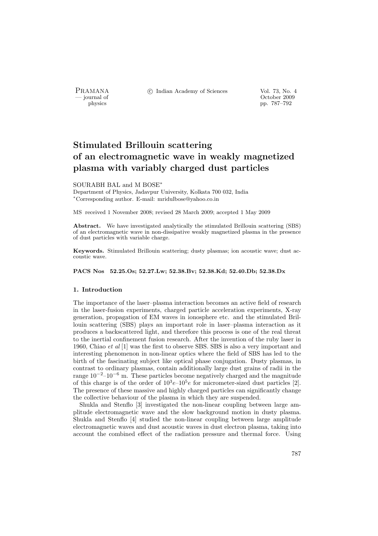PRAMANA <sup>C</sup> Indian Academy of Sciences Vol. 73, No. 4<br>
— journal of Cortober 2009

position of the contract of the contract of the contract of the contract of the contract of the contract of the contract of the contract of the contract of the contract of the contract of the contract of the contract of th pp. 787–792

# Stimulated Brillouin scattering of an electromagnetic wave in weakly magnetized plasma with variably charged dust particles

## SOURABH BAL and M BOSE<sup>∗</sup>

Department of Physics, Jadavpur University, Kolkata 700 032, India <sup>∗</sup>Corresponding author. E-mail: mridulbose@yahoo.co.in

MS received 1 November 2008; revised 28 March 2009; accepted 1 May 2009

Abstract. We have investigated analytically the stimulated Brillouin scattering (SBS) of an electromagnetic wave in non-dissipative weakly magnetized plasma in the presence of dust particles with variable charge.

Keywords. Stimulated Brillouin scattering; dusty plasmas; ion acoustic wave; dust accoustic wave.

PACS Nos 52.25.Os; 52.27.Lw; 52.38.Bv; 52.38.Kd; 52.40.Db; 52.38.Dx

## 1. Introduction

The importance of the laser–plasma interaction becomes an active field of research in the laser-fusion experiments, charged particle acceleration experiments, X-ray generation, propagation of EM waves in ionosphere etc. and the stimulated Brillouin scattering (SBS) plays an important role in laser–plasma interaction as it produces a backscattered light, and therefore this process is one of the real threat to the inertial confinement fusion research. After the invention of the ruby laser in 1960, Chiao et al [1] was the first to observe SBS. SBS is also a very important and interesting phenomenon in non-linear optics where the field of SBS has led to the birth of the fascinating subject like optical phase conjugation. Dusty plasmas, in contrast to ordinary plasmas, contain additionally large dust grains of radii in the range  $10^{-2}$ – $10^{-6}$  m. These particles become negatively charged and the magnitude of this charge is of the order of  $10^3e-10^5e$  for micrometer-sized dust particles [2]. The presence of these massive and highly charged particles can significantly change the collective behaviour of the plasma in which they are suspended.

Shukla and Stenflo [3] investigated the non-linear coupling between large amplitude electromagnetic wave and the slow background motion in dusty plasma. Shukla and Stenflo [4] studied the non-linear coupling between large amplitude electromagnetic waves and dust acoustic waves in dust electron plasma, taking into account the combined effect of the radiation pressure and thermal force. Using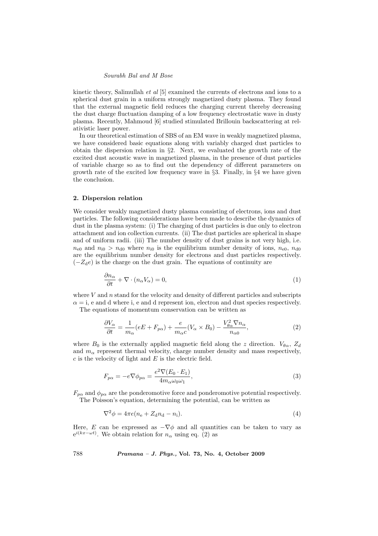## Sourabh Bal and M Bose

kinetic theory, Salimullah et al [5] examined the currents of electrons and ions to a spherical dust grain in a uniform strongly magnetized dusty plasma. They found that the external magnetic field reduces the charging current thereby decreasing the dust charge fluctuation damping of a low frequency electrostatic wave in dusty plasma. Recently, Mahmoud [6] studied stimulated Brillouin backscattering at relativistic laser power.

In our theoretical estimation of SBS of an EM wave in weakly magnetized plasma, we have considered basic equations along with variably charged dust particles to obtain the dispersion relation in §2. Next, we evaluated the growth rate of the excited dust acoustic wave in magnetized plasma, in the presence of dust particles of variable charge so as to find out the dependency of different parameters on growth rate of the excited low frequency wave in §3. Finally, in §4 we have given the conclusion.

#### 2. Dispersion relation

We consider weakly magnetized dusty plasma consisting of electrons, ions and dust particles. The following considerations have been made to describe the dynamics of dust in the plasma system: (i) The charging of dust particles is due only to electron attachment and ion collection currents. (ii) The dust particles are spherical in shape and of uniform radii. (iii) The number density of dust grains is not very high, i.e.  $n_{e0}$  and  $n_{i0} > n_{d0}$  where  $n_{i0}$  is the equilibrium number density of ions,  $n_{e0}$ ,  $n_{d0}$ are the equilibrium number density for electrons and dust particles respectively.  $(-Z_d e)$  is the charge on the dust grain. The equations of continuity are

$$
\frac{\partial n_{\alpha}}{\partial t} + \nabla \cdot (n_{\alpha} V_{\alpha}) = 0, \qquad (1)
$$

where  $V$  and  $n$  stand for the velocity and density of different particles and subscripts  $\alpha = i$ , e and d where i, e and d represent ion, electron and dust species respectively.

The equations of momentum conservation can be written as

$$
\frac{\partial V_{\alpha}}{\partial t} = \frac{1}{m_{\alpha}} (eE + F_{p\alpha}) + \frac{e}{m_{\alpha}c} (V_{\alpha} \times B_0) - \frac{V_{\theta\alpha}^2 \nabla n_{\alpha}}{n_{\alpha 0}},\tag{2}
$$

where  $B_0$  is the externally applied magnetic field along the z direction.  $V_{\theta\alpha}$ ,  $Z_d$ and  $m_{\alpha}$  represent thermal velocity, charge number density and mass respectively,  $c$  is the velocity of light and  $E$  is the electric field.

$$
F_{p\alpha} = -e \nabla \phi_{p\alpha} = \frac{e^2 \nabla (E_0 \cdot E_1)}{4m_{\alpha} \omega_0 \omega_1},\tag{3}
$$

 $F_{p\alpha}$  and  $\phi_{p\alpha}$  are the ponderomotive force and ponderomotive potential respectively. The Poisson's equation, determining the potential, can be written as

$$
\nabla^2 \phi = 4\pi e (n_e + Z_d n_d - n_i). \tag{4}
$$

Here, E can be expressed as  $-\nabla\phi$  and all quantities can be taken to vary as  $e^{i(kx-\omega t)}$ . We obtain relation for  $n_{\alpha}$  using eq. (2) as

788 Pramana – J. Phys., Vol. 73, No. 4, October 2009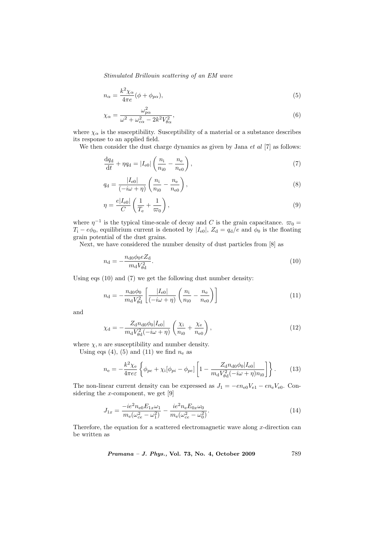Stimulated Brillouin scattering of an EM wave

$$
n_{\alpha} = \frac{k^2 \chi_{\alpha}}{4\pi e} (\phi + \phi_{p\alpha}),\tag{5}
$$

$$
\chi_{\alpha} = \frac{\omega_{p\alpha}^2}{\omega^2 + \omega_{c\alpha}^2 - 2k^2 V_{\theta\alpha}^2},\tag{6}
$$

where  $\chi_{\alpha}$  is the susceptibility. Susceptibility of a material or a substance describes its response to an applied field.

We then consider the dust charge dynamics as given by Jana  $et$  al  $[7]$  as follows:

$$
\frac{dq_{d}}{dt} + \eta q_{d} = |I_{e0}| \left( \frac{n_{i}}{n_{i0}} - \frac{n_{e}}{n_{e0}} \right),
$$
\n(7)

$$
q_{\rm d} = \frac{|I_{\rm e0}|}{(-i\omega + \eta)} \left( \frac{n_{\rm i}}{n_{\rm i0}} - \frac{n_{\rm e}}{n_{\rm e0}} \right),\tag{8}
$$

$$
\eta = \frac{e|I_{\text{e0}}|}{C} \left(\frac{1}{T_{\text{e}}} + \frac{1}{\varpi_0}\right),\tag{9}
$$

where  $\eta^{-1}$  is the typical time-scale of decay and C is the grain capacitance.  $\varpi_0 =$  $T_i - e\phi_0$ , equilibrium current is denoted by  $|I_{e0}|$ ,  $Z_d = q_d/e$  and  $\phi_0$  is the floating grain potential of the dust grains.

Next, we have considered the number density of dust particles from [8] as

$$
n_{\rm d} = -\frac{n_{\rm d0}\phi_0 e Z_{\rm d}}{m_{\rm d}V_{\rm dd}^2}.\tag{10}
$$

Using eqs (10) and (7) we get the following dust number density:

$$
n_{\rm d} = -\frac{n_{\rm d0}\phi_0}{m_{\rm d}V_{\rm \theta\rm d}^2} \left[ \frac{|I_{\rm e0}|}{(-i\omega + \eta)} \left( \frac{n_{\rm i}}{n_{\rm i0}} - \frac{n_{\rm e}}{n_{\rm e0}} \right) \right]
$$
(11)

and

$$
\chi_{\rm d} = -\frac{Z_{\rm d}n_{\rm d0}\phi_0|I_{\rm e0}|}{m_{\rm d}V_{\rm \theta\rm d}^2(-i\omega + \eta)} \left(\frac{\chi_{\rm i}}{n_{\rm i0}} + \frac{\chi_{\rm e}}{n_{\rm e0}}\right),\tag{12}
$$

where  $\chi$ , *n* are susceptibility and number density.

Using eqs (4), (5) and (11) we find  $n_e$  as

$$
n_{\rm e} = -\frac{k^2 \chi_{\rm e}}{4\pi e \epsilon} \left\{ \phi_{pe} + \chi_{\rm i} [\phi_{pi} - \phi_{pe}] \left[ 1 - \frac{Z_{\rm d} n_{\rm d0} \phi_{0} |I_{\rm e0}|}{m_{\rm d} V_{\rm ed}^2 (-i\omega + \eta) n_{\rm i0}} \right] \right\}.
$$
 (13)

The non-linear current density can be expressed as  $J_1 = -en_{e0}V_{e1} - en_eV_{e0}$ . Considering the  $x$ -component, we get [9]

$$
J_{1x} = \frac{-ie^2 n_{e0} E_{1x} \omega_1}{m_e(\omega_{ce}^2 - \omega_1^2)} - \frac{ie^2 n_e E_{0x} \omega_0}{m_e(\omega_{ce}^2 - \omega_0^2)}.
$$
(14)

Therefore, the equation for a scattered electromagnetic wave along  $x$ -direction can be written as

Pramana – J. Phys., Vol. 73, No. 4, October 2009 789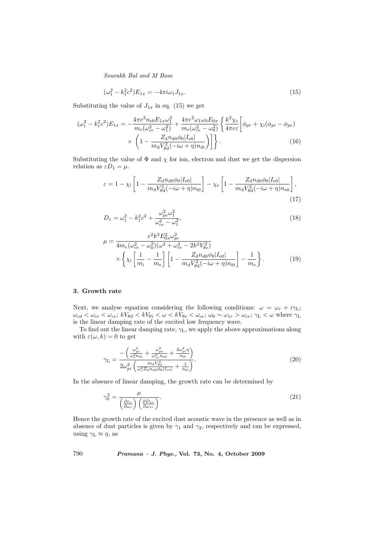Sourabh Bal and M Bose

$$
(\omega_1^2 - k_1^2 c^2) E_{1x} = -4\pi i \omega_1 J_{1x}.
$$
\n(15)

Substituting the value of  $J_{1x}$  in eq. (15) we get

$$
(\omega_1^2 - k_1^2 c^2) E_{1x} = -\frac{4\pi e^2 n_{e0} E_{1x} \omega_1^2}{m_e (\omega_{ce}^2 - \omega_1^2)} + \frac{4\pi e^2 \omega_1 \omega_0 E_{0x}}{m_e (\omega_{ce}^2 - \omega_0^2)} \left\{ \frac{k^2 \chi_e}{4\pi e \epsilon} \left[ \phi_{pe} + \chi_i (\phi_{pi} - \phi_{pe}) \times \left( 1 - \frac{Z_{\rm d} n_{\rm d0} \phi_0 |I_{\rm e0}|}{m_{\rm d} V_{\rm ed}^2 (-i\omega + \eta) n_{\rm i0}} \right) \right] \right\}.
$$
 (16)

Substituting the value of  $\Phi$  and  $\chi$  for ion, electron and dust we get the dispersion relation as  $\varepsilon D_1 = \mu$ .

$$
\varepsilon = 1 - \chi_{\rm i} \left[ 1 - \frac{Z_{\rm d} n_{\rm d0} \phi_{\rm 0} |I_{\rm e0}|}{m_{\rm d} V_{\theta \rm d}^2 (-i\omega + \eta) n_{\rm i0}} \right] - \chi_{\rm e} \left[ 1 - \frac{Z_{\rm d} n_{\rm d0} \phi_{\rm 0} |I_{\rm e0}|}{m_{\rm d} V_{\theta \rm d}^2 (-i\omega + \eta) n_{\rm e0}} \right],\tag{17}
$$

$$
D_1 = \omega_1^2 - k_1^2 c^2 + \frac{\omega_{pe}^2 \omega_1^2}{\omega_{ce}^2 - \omega_1^2},\tag{18}
$$

$$
\mu = \frac{e^2 k^2 E_{0x}^2 \omega_{pe}^2}{4m_e(\omega_{ce}^2 - \omega_0^2)(\omega^2 + \omega_{ce}^2 - 2k^2 V_{\theta e}^2)}
$$

$$
\times \left\{ \chi_i \left[ \frac{1}{m_i} - \frac{1}{m_e} \right] \left[ 1 - \frac{Z_{\rm d} n_{\rm d0} \phi_0 |I_{\rm e0}|}{m_{\rm d} V_{\theta \rm d}^2 (-i\omega + \eta) n_{\rm i0}} \right] - \frac{1}{m_e} \right\}.
$$
(19)

## 3. Growth rate

γ

Next, we analyse equation considering the following conditions:  $\omega = \omega_r + i\gamma_L$ ;  $\omega_{cd} < \omega_{ci} < \omega_{ce}$ ;  $kV_{\theta d} < kV_{\theta i} < \omega < kV_{\theta e} < \omega_{ce}$ ;  $\omega_0 \sim \omega_{1r} > \omega_{ce}$ ;  $\gamma_L < \omega$  where  $\gamma_L$ is the linear damping rate of the excited low frequency wave.

To find out the linear damping rate,  $\gamma_L$ , we apply the above approximations along with  $\varepsilon(\omega, k) = 0$  to get

$$
\gamma_{\rm L} = \frac{-\left(\frac{\omega_{pi}^2}{\omega_r^2 n_{i0}} + \frac{\omega_{pe}^2}{\omega_{ce}^2 n_{e0}} + \frac{2\omega_{pi}^2 \eta}{n_{i0}}\right)}{2\omega_{pi}^2 \left(\frac{m_{\rm d} V_{\rm pd}^2}{\omega_r^2 Z_{\rm d} n_{\rm d0} \phi_0 |I_{e0}|} + \frac{1}{n_{i0}}\right)}.
$$
\n(20)

In the absence of linear damping, the growth rate can be determined by

$$
\gamma_0^2 = \frac{\mu}{\left(\frac{\partial \varepsilon_r}{\partial \omega_r}\right) \left(\frac{\partial D_{1r}}{\partial \omega_{1r}}\right)}.\tag{21}
$$

Hence the growth rate of the excited dust acoustic wave in the presence as well as in absence of dust particles is given by  $\gamma_1$  and  $\gamma_2$ , respectively and can be expressed, using  $\gamma_L \approx \eta$ , as

790 Pramana – J. Phys., Vol. 73, No. 4, October 2009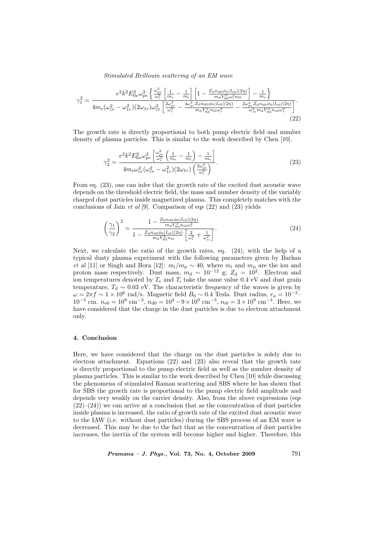Stimulated Brillouin scattering of an EM wave

$$
\gamma_1^2 = \frac{e^2 k^2 E_{0x}^2 \omega_{pe}^2 \left\{ \frac{\omega_{pi}^2}{\omega_r^2} \left[ \frac{1}{m_e} - \frac{1}{m_i} \right] \left[ 1 - \frac{Z_{\rm d} n_{\rm d0} \phi_0 |I_{\rm e0}|(2\eta)}{m_{\rm d} V_{\rm dd}^2 \omega_r^2 n_{\rm i0}} \right] - \frac{1}{m_e} \right\}}{4m_{\rm e} (\omega_{ce}^2 - \omega_{1r}^2)(2\omega_{1r})\omega_{ce}^2 \left[ \frac{2\omega_{pi}^2}{\omega_r^3} - \frac{4\omega_{pi}^2 Z_{\rm d} n_{\rm d0} \phi_0 |I_{\rm e0}|(2\eta)}{m_{\rm d} V_{\rm dd}^2 n_{\rm i0} \omega_r^5} - \frac{2\omega_{pe}^2 Z_{\rm d} n_{\rm d0} \phi_0 |I_{\rm e0}|(2\eta)}{\omega_{ce}^2 m_{\rm d} V_{\rm dd}^2 n_{\rm e0} \omega_r^3} \right]}.
$$
\n
$$
(22)
$$

The growth rate is directly proportional to both pump electric field and number density of plasma particles. This is similar to the work described by Chen [10].

$$
\gamma_2^2 = \frac{e^2 k^2 E_{0x}^2 \omega_{pe}^2 \left[\frac{\omega_{pi}^2}{\omega_r^2} \left(\frac{1}{m_e} - \frac{1}{m_i}\right) - \frac{1}{m_e}\right]}{4 m_e \omega_{ce}^2 (\omega_{ce}^2 - \omega_{1r}^2)(2\omega_{1r}) \left(\frac{2\omega_{pi}^2}{\omega_r^3}\right)}.
$$
\n(23)

From eq. (23), one can infer that the growth rate of the excited dust acoustic wave depends on the threshold electric field, the mass and number density of the variably charged dust particles inside magnetized plasma. This completely matches with the conclusions of Jain *et al* [9]. Comparison of eqs  $(22)$  and  $(23)$  yields

$$
\left(\frac{\gamma_1}{\gamma_2}\right)^2 = \frac{1 - \frac{Z_{\rm d}n_{\rm d0}\phi_0|I_{\rm e0}|(2\eta)}{m_{\rm d}V_{\rm ed}^2n_{\rm i0}\omega_r^2}}{1 - \frac{Z_{\rm d}n_{\rm d0}\phi_0|I_{\rm e0}|(2\eta)}{m_{\rm d}V_{\rm ed}^2n_{\rm i0}}} \frac{(24)
$$

Next, we calculate the ratio of the growth rates, eq. (24), with the help of a typical dusty plasma experiment with the following parameters given by Barkan et al [11] or Singh and Bora [12]:  $m_i/m_p \sim 40$ , where  $m_i$  and  $m_p$  are the ion and proton mass respectively. Dust mass,  $m_d \sim 10^{-12}$  g;  $Z_d = 10^2$ . Electron and ion temperatures denoted by  $T_e$  and  $T_i$  take the same value 0.4 eV and dust grain temperature,  $T_d \sim 0.03$  eV. The characteristic frequency of the waves is given by  $\omega = 2\pi f \sim 1 \times 10^6$  rad/s. Magnetic field  $B_0 \sim 0.4$  Tesla. Dust radius,  $r_a = 10^{-3}$ –  $10^{-5}$  cm.  $n_{e0} = 10^{9}$  cm<sup>-3</sup>,  $n_{d0} = 10^{4} - 9 \times 10^{9}$  cm<sup>-3</sup>,  $n_{i0} = 3 \times 10^{9}$  cm<sup>-3</sup>. Here, we have considered that the charge in the dust particles is due to electron attachment only.

# 4. Conclusion

Here, we have considered that the charge on the dust particles is solely due to electron attachment. Equations (22) and (23) also reveal that the growth rate is directly proportional to the pump electric field as well as the number density of plasma particles. This is similar to the work described by Chen [10] while discussing the phenomena of stimulated Raman scattering and SBS where he has shown that for SBS the growth rate is proportional to the pump electric field amplitude and depends very weakly on the carrier density. Also, from the above expressions (eqs  $(22)–(24)$ ) we can arrive at a conclusion that as the concentration of dust particles inside plasma is increased, the ratio of growth rate of the excited dust acoustic wave to the IAW (i.e. without dust particles) during the SBS process of an EM wave is decreased. This may be due to the fact that as the concentration of dust particles increases, the inertia of the system will become higher and higher. Therefore, this

Pramana – J. Phys., Vol. 73, No. 4, October 2009 791